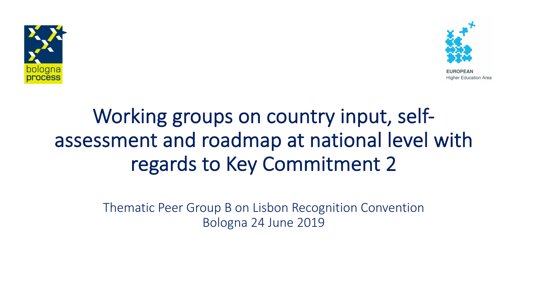



**Higher Education Area** 

# Working groups on country input, selfassessment and roadmap at national level with regards to Key Commitment 2

Thematic Peer Group B on Lisbon Recognition Convention Bologna 24 June 2019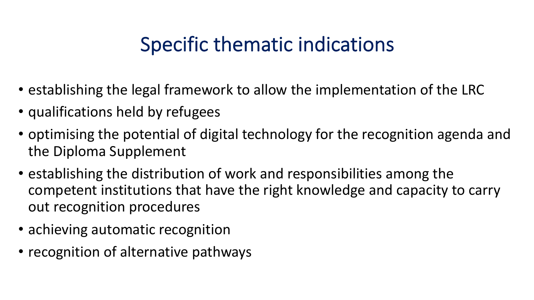### Specific thematic indications

- establishing the legal framework to allow the implementation of the LRC
- qualifications held by refugees
- optimising the potential of digital technology for the recognition agenda and the Diploma Supplement
- establishing the distribution of work and responsibilities among the competent institutions that have the right knowledge and capacity to carry out recognition procedures
- achieving automatic recognition
- recognition of alternative pathways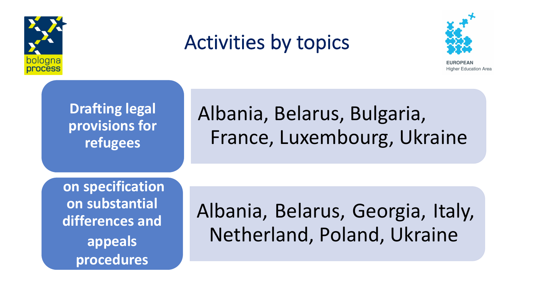



Higher Education Area

**Drafting legal provisions for refugees**

## Albania, Belarus, Bulgaria, France, Luxembourg, Ukraine

**on specification on substantial differences and appeals procedures**

Albania, Belarus, Georgia, Italy, Netherland, Poland, Ukraine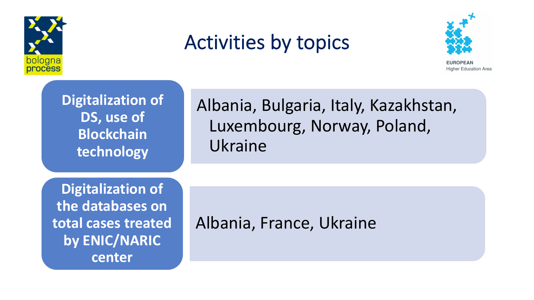



**Higher Education Area** 



Albania, Bulgaria, Italy, Kazakhstan, Luxembourg, Norway, Poland, Ukraine

**Digitalization of the databases on total cases treated by ENIC/NARIC center**

#### Albania, France, Ukraine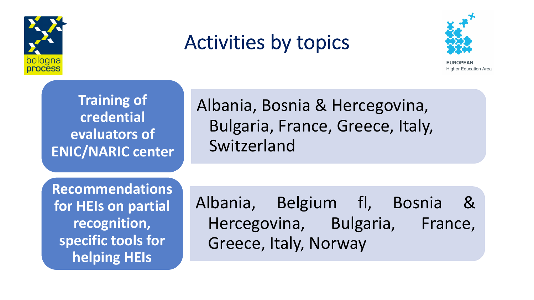



Higher Education Area

**Training of credential evaluators of ENIC/NARIC center**

Albania, Bosnia & Hercegovina, Bulgaria, France, Greece, Italy, Switzerland

**Recommendations for HEIs on partial recognition, specific tools for helping HEIs**

Albania, Belgium fl, Bosnia & Hercegovina, Bulgaria, France, Greece, Italy, Norway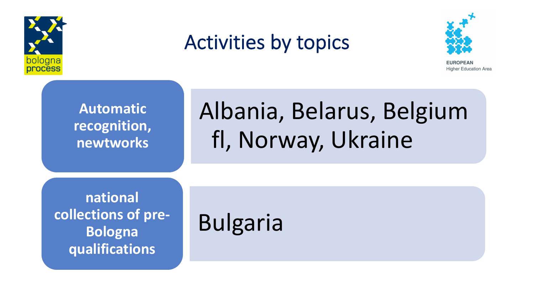



**Higher Education Area** 

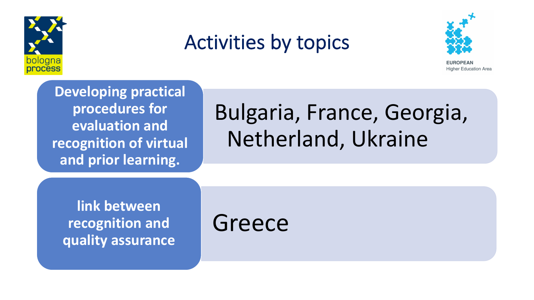



**Higher Education Area** 

**Developing practical procedures for evaluation and recognition of virtual and prior learning.**

# Bulgaria, France, Georgia, Netherland, Ukraine

**link between recognition and quality assurance**

Greece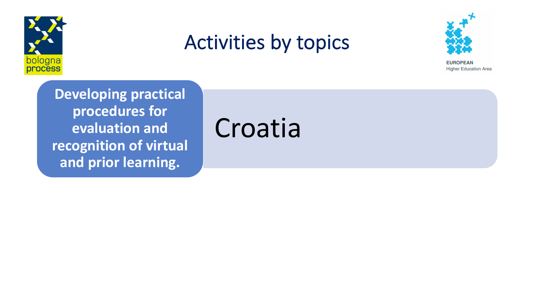



**EUROPEAN Higher Education Area** 

**Developing practical procedures for evaluation and recognition of virtual and prior learning.**

Croatia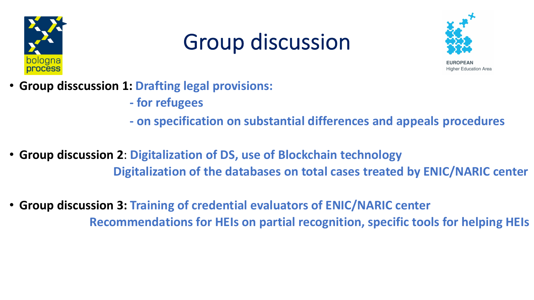

# Group discussion



Higher Education Area

- **Group disscussion 1: Drafting legal provisions:** 
	- **- for refugees**
	- **- on specification on substantial differences and appeals procedures**
- **Group discussion 2**: **Digitalization of DS, use of Blockchain technology Digitalization of the databases on total cases treated by ENIC/NARIC center**
- **Group discussion 3: Training of credential evaluators of ENIC/NARIC center Recommendations for HEIs on partial recognition, specific tools for helping HEIs**